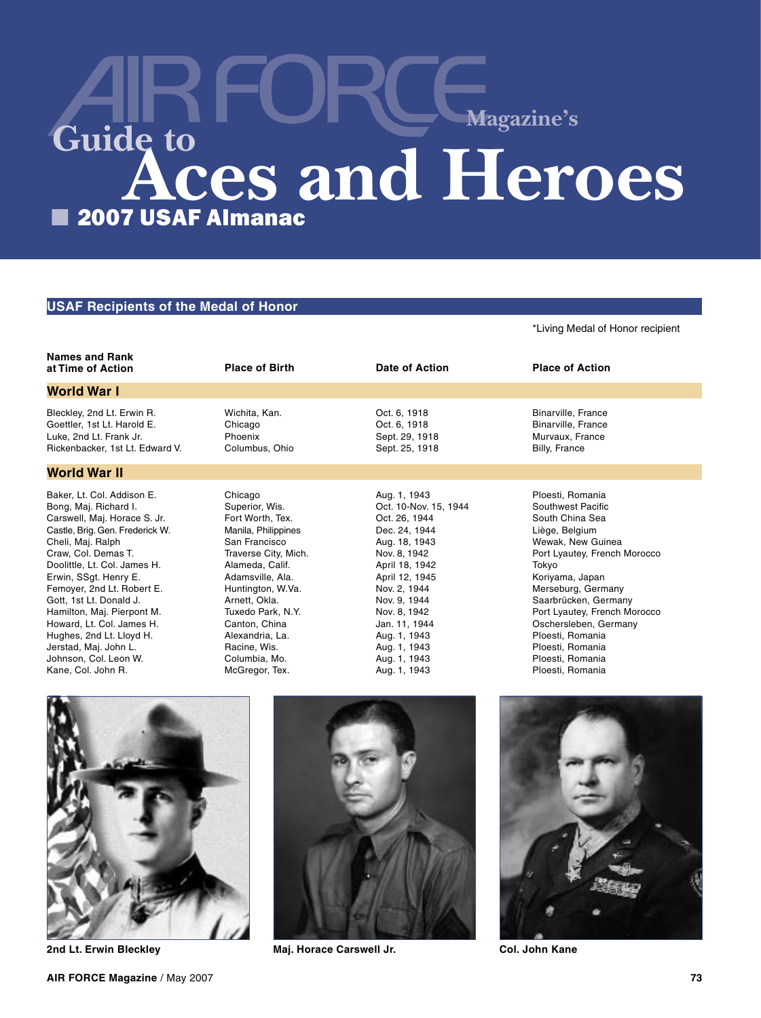# ■ 2007 USAF Almanac **Aces and Heroes Guide to Magazine's**

# **USAF Recipients of the Medal of Honor**

## \*Living Medal of Honor recipient

|                                                                                                                                                                                                                                                                                                                                                                                                                                                     | <b>Place of Birth</b>                                                                                                                                                                                                                                                                                  | Date of Action                                                                                                                                                                                                                                                                | <b>Place of Action</b>                                                                                                                                                                                                                                                                                                                             |
|-----------------------------------------------------------------------------------------------------------------------------------------------------------------------------------------------------------------------------------------------------------------------------------------------------------------------------------------------------------------------------------------------------------------------------------------------------|--------------------------------------------------------------------------------------------------------------------------------------------------------------------------------------------------------------------------------------------------------------------------------------------------------|-------------------------------------------------------------------------------------------------------------------------------------------------------------------------------------------------------------------------------------------------------------------------------|----------------------------------------------------------------------------------------------------------------------------------------------------------------------------------------------------------------------------------------------------------------------------------------------------------------------------------------------------|
| <b>World War I</b>                                                                                                                                                                                                                                                                                                                                                                                                                                  |                                                                                                                                                                                                                                                                                                        |                                                                                                                                                                                                                                                                               |                                                                                                                                                                                                                                                                                                                                                    |
| Bleckley, 2nd Lt. Erwin R.<br>Goettler, 1st Lt. Harold E.<br>Luke, 2nd Lt. Frank Jr.<br>Rickenbacker, 1st Lt. Edward V.                                                                                                                                                                                                                                                                                                                             | Wichita, Kan.<br>Chicago<br>Phoenix<br>Columbus, Ohio                                                                                                                                                                                                                                                  | Oct. 6, 1918<br>Oct. 6, 1918<br>Sept. 29, 1918<br>Sept. 25, 1918                                                                                                                                                                                                              | Binarville, France<br><b>Binarville, France</b><br>Murvaux, France<br>Billy, France                                                                                                                                                                                                                                                                |
| <b>World War II</b>                                                                                                                                                                                                                                                                                                                                                                                                                                 |                                                                                                                                                                                                                                                                                                        |                                                                                                                                                                                                                                                                               |                                                                                                                                                                                                                                                                                                                                                    |
| Baker, Lt. Col. Addison E.<br>Bong, Maj. Richard I.<br>Carswell, Maj. Horace S. Jr.<br>Castle, Brig. Gen. Frederick W.<br>Cheli, Maj. Ralph<br>Craw, Col. Demas T.<br>Doolittle, Lt. Col. James H.<br>Erwin, SSqt. Henry E.<br>Femover, 2nd Lt. Robert E.<br>Gott, 1st Lt. Donald J.<br>Hamilton, Maj. Pierpont M.<br>Howard, Lt. Col. James H.<br>Hughes, 2nd Lt. Lloyd H.<br>Jerstad, Maj. John L.<br>Johnson, Col. Leon W.<br>Kane, Col. John R. | Chicago<br>Superior, Wis.<br>Fort Worth, Tex.<br>Manila, Philippines<br>San Francisco<br>Traverse City, Mich.<br>Alameda, Calif.<br>Adamsville, Ala.<br>Huntington, W.Va.<br>Arnett, Okla.<br>Tuxedo Park, N.Y.<br>Canton, China<br>Alexandria, La.<br>Racine, Wis.<br>Columbia, Mo.<br>McGregor, Tex. | Aug. 1, 1943<br>Oct. 10-Nov. 15, 1944<br>Oct. 26, 1944<br>Dec. 24, 1944<br>Aug. 18, 1943<br>Nov. 8, 1942<br>April 18, 1942<br>April 12, 1945<br>Nov. 2, 1944<br>Nov. 9, 1944<br>Nov. 8, 1942<br>Jan. 11, 1944<br>Aug. 1, 1943<br>Aug. 1, 1943<br>Aug. 1, 1943<br>Aug. 1, 1943 | Ploesti, Romania<br>Southwest Pacific<br>South China Sea<br>Liège, Belgium<br>Wewak, New Guinea<br>Port Lyautey, French Morocco<br>Tokyo<br>Koriyama, Japan<br>Merseburg, Germany<br>Saarbrücken, Germany<br>Port Lyautey, French Morocco<br>Oschersleben, Germany<br>Ploesti, Romania<br>Ploesti, Romania<br>Ploesti, Romania<br>Ploesti, Romania |







**2nd Lt. Erwin Bleckley Maj. Horace Carswell Jr. Col. John Kane**

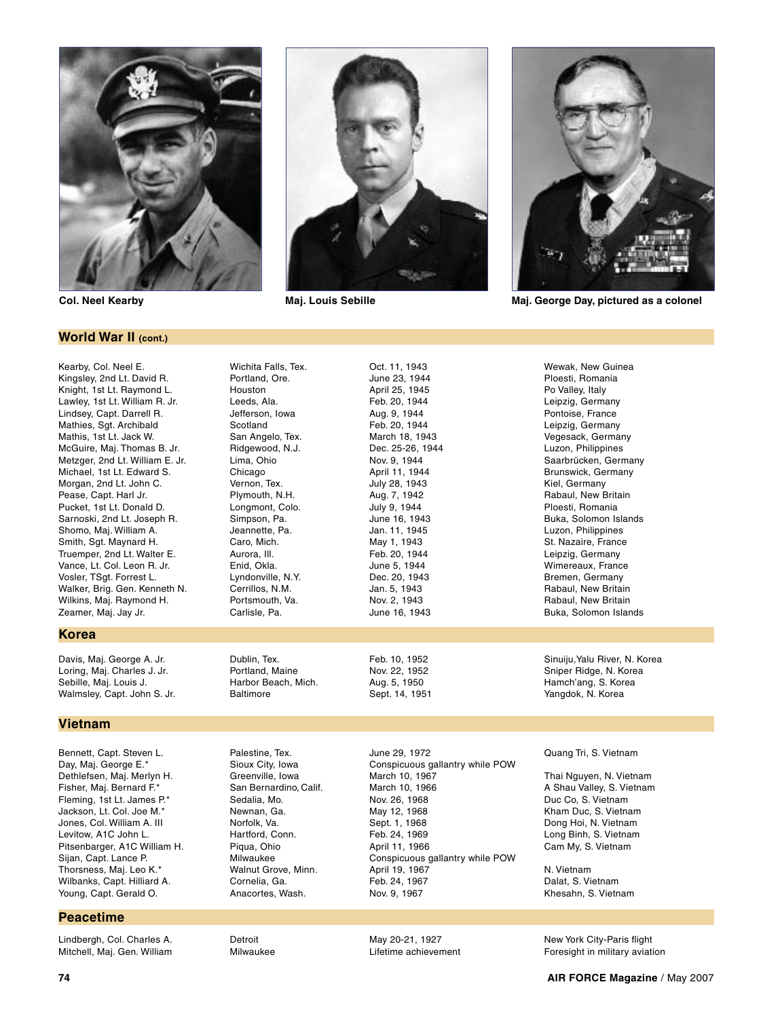

# **World War II (cont.)**

Kearby, Col. Neel E. Kingsley, 2nd Lt. David R. Knight, 1st Lt. Raymond L. Lawley, 1st Lt. William R. Jr. Lindsey, Capt. Darrell R. Mathies, Sgt. Archibald Mathis, 1st Lt. Jack W. McGuire, Maj. Thomas B. Jr. Metzger, 2nd Lt. William E. Jr. Michael, 1st Lt. Edward S. Morgan, 2nd Lt. John C. Pease, Capt. Harl Jr. Pucket, 1st Lt. Donald D. Sarnoski, 2nd Lt. Joseph R. Shomo, Maj. William A. Smith, Sgt. Maynard H. Truemper, 2nd Lt. Walter E. Vance, Lt. Col. Leon R. Jr. Vosler, TSgt. Forrest L. Walker, Brig. Gen. Kenneth N. Wilkins, Maj. Raymond H. Zeamer, Maj. Jay Jr.

# **Korea**

Davis, Maj. George A. Jr. Loring, Maj. Charles J. Jr. Sebille, Maj. Louis J. Walmsley, Capt. John S. Jr.

# **Vietnam**

Bennett, Capt. Steven L. Day, Maj. George E.\* Dethlefsen, Maj. Merlyn H. Fisher, Maj. Bernard F.\* Fleming, 1st Lt. James P.\* Jackson, Lt. Col. Joe M.\* Jones, Col. William A. III Levitow, A1C John L. Pitsenbarger, A1C William H. Sijan, Capt. Lance P. Thorsness, Maj. Leo K.\* Wilbanks, Capt. Hilliard A. Young, Capt. Gerald O.

# **Peacetime**

Lindbergh, Col. Charles A. Mitchell, Maj. Gen. William



Oct. 11, 1943 June 23, 1944 April 25, 1945 Feb. 20, 1944 Aug. 9, 1944 Feb. 20, 1944 March 18, 1943 Dec. 25-26, 1944 Nov. 9, 1944 April 11, 1944 July 28, 1943 Aug. 7, 1942 July 9, 1944 June 16, 1943 Jan. 11, 1945 May 1, 1943 Feb. 20, 1944 June 5, 1944 Dec. 20, 1943 Jan. 5, 1943 Nov. 2, 1943 June 16, 1943

Feb. 10, 1952 Nov. 22, 1952 Aug. 5, 1950 Sept. 14, 1951



**Col. Neel Kearby Maj. Louis Sebille Maj. George Day, pictured as a colonel**

Wichita Falls, Tex. Portland, Ore. Houston Leeds, Ala. Jefferson, Iowa Scotland San Angelo, Tex. Ridgewood, N.J. Lima, Ohio Chicago Vernon, Tex. Plymouth, N.H. Longmont, Colo. Simpson, Pa. Jeannette, Pa. Caro, Mich. Aurora, Ill. Enid, Okla. Lyndonville, N.Y. Cerrillos, N.M. Portsmouth, Va. Carlisle, Pa.

Dublin, Tex. Portland, Maine Harbor Beach, Mich. **Baltimore** 

Palestine, Tex. Sioux City, Iowa Greenville, Iowa San Bernardino, Calif. Sedalia, Mo. Newnan, Ga. Norfolk, Va. Hartford, Conn. Piqua, Ohio Milwaukee Walnut Grove, Minn. Cornelia, Ga. Anacortes, Wash.

Detroit Milwaukee June 29, 1972 Conspicuous gallantry while POW March 10, 1967 March 10, 1966 Nov. 26, 1968 May 12, 1968 Sept. 1, 1968 Feb. 24, 1969 April 11, 1966 Conspicuous gallantry while POW April 19, 1967 Feb. 24, 1967 Nov. 9, 1967

May 20-21, 1927 Lifetime achievement

Wewak, New Guinea Ploesti, Romania Po Valley, Italy Leipzig, Germany Pontoise, France Leipzig, Germany Vegesack, Germany Luzon, Philippines Saarbrücken, Germany Brunswick, Germany Kiel, Germany Rabaul, New Britain Ploesti, Romania Buka, Solomon Islands Luzon, Philippines St. Nazaire, France Leipzig, Germany Wimereaux, France Bremen, Germany Rabaul, New Britain Rabaul, New Britain Buka, Solomon Islands

Sinuiju,Yalu River, N. Korea Sniper Ridge, N. Korea Hamch'ang, S. Korea Yangdok, N. Korea

Quang Tri, S. Vietnam

Thai Nguyen, N. Vietnam A Shau Valley, S. Vietnam Duc Co, S. Vietnam Kham Duc, S. Vietnam Dong Hoi, N. Vietnam Long Binh, S. Vietnam Cam My, S. Vietnam

N. Vietnam Dalat, S. Vietnam Khesahn, S. Vietnam

New York City-Paris flight Foresight in military aviation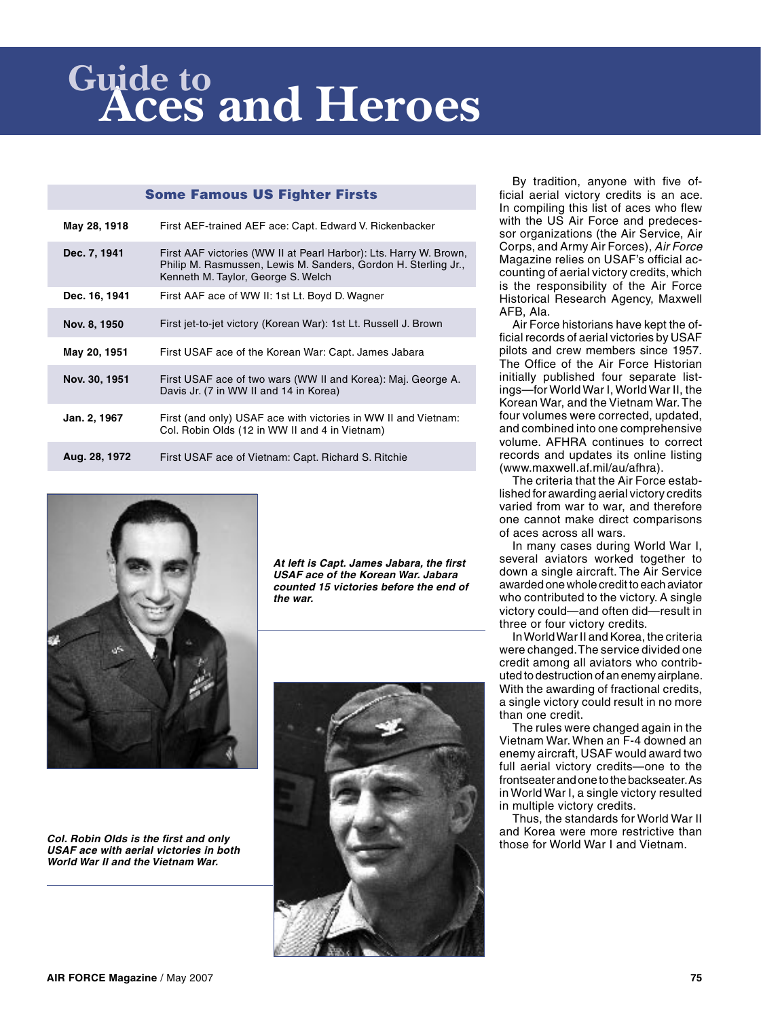# **Aces and Heroes Guide to**

# Some Famous US Fighter Firsts

| May 28, 1918  | First AEF-trained AEF ace: Capt. Edward V. Rickenbacker                                                                                                                   |
|---------------|---------------------------------------------------------------------------------------------------------------------------------------------------------------------------|
| Dec. 7, 1941  | First AAF victories (WW II at Pearl Harbor): Lts. Harry W. Brown,<br>Philip M. Rasmussen, Lewis M. Sanders, Gordon H. Sterling Jr.,<br>Kenneth M. Taylor, George S. Welch |
| Dec. 16, 1941 | First AAF ace of WW II: 1st Lt. Boyd D. Wagner                                                                                                                            |
| Nov. 8, 1950  | First jet-to-jet victory (Korean War): 1st Lt. Russell J. Brown                                                                                                           |
| May 20, 1951  | First USAF ace of the Korean War: Capt. James Jabara                                                                                                                      |
| Nov. 30, 1951 | First USAF ace of two wars (WW II and Korea): Maj. George A.<br>Davis Jr. (7 in WW II and 14 in Korea)                                                                    |
| Jan. 2, 1967  | First (and only) USAF ace with victories in WW II and Vietnam:<br>Col. Robin Olds (12 in WW II and 4 in Vietnam)                                                          |
| Aug. 28, 1972 | First USAF ace of Vietnam: Capt. Richard S. Ritchie                                                                                                                       |

**At left is Capt. James Jabara, the first USAF ace of the Korean War. Jabara counted 15 victories before the end of the war.**





By tradition, anyone with five official aerial victory credits is an ace. In compiling this list of aces who flew with the US Air Force and predecessor organizations (the Air Service, Air Corps, and Army Air Forces), Air Force Magazine relies on USAF's official accounting of aerial victory credits, which is the responsibility of the Air Force Historical Research Agency, Maxwell AFB, Ala.

Air Force historians have kept the official records of aerial victories by USAF pilots and crew members since 1957. The Office of the Air Force Historian initially published four separate listings—for World War I, World War II, the Korean War, and the Vietnam War. The four volumes were corrected, updated, and combined into one comprehensive volume. AFHRA continues to correct records and updates its online listing (www.maxwell.af.mil/au/afhra).

The criteria that the Air Force established for awarding aerial victory credits varied from war to war, and therefore one cannot make direct comparisons of aces across all wars.

In many cases during World War I, several aviators worked together to down a single aircraft. The Air Service awarded one whole credit to each aviator who contributed to the victory. A single victory could—and often did—result in three or four victory credits.

In World War II and Korea, the criteria were changed. The service divided one credit among all aviators who contributed to destruction of an enemy airplane. With the awarding of fractional credits, a single victory could result in no more than one credit.

The rules were changed again in the Vietnam War. When an F-4 downed an enemy aircraft, USAF would award two full aerial victory credits—one to the frontseater and one to the backseater. As in World War I, a single victory resulted in multiple victory credits.

Thus, the standards for World War II and Korea were more restrictive than those for World War I and Vietnam.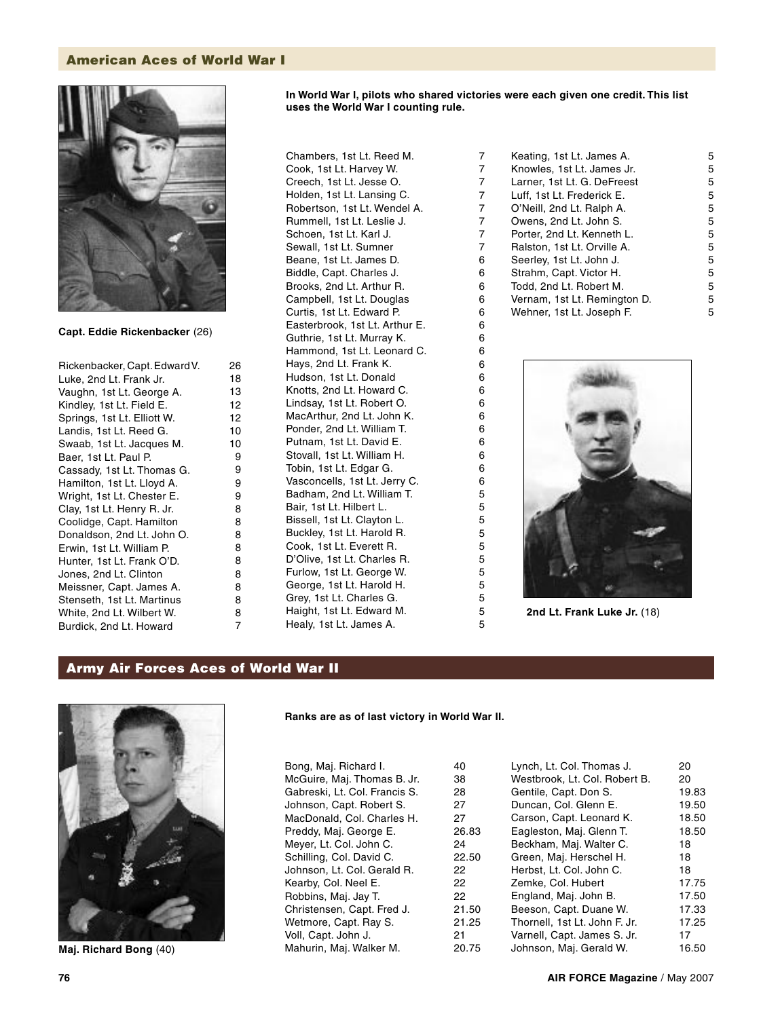# American Aces of World War I



**Capt. Eddie Rickenbacker** (26)

| Rickenbacker, Capt. Edward V. |
|-------------------------------|
| Luke, 2nd Lt. Frank Jr.       |
| Vaughn, 1st Lt. George A.     |
| Kindley, 1st Lt. Field E.     |
| Springs, 1st Lt. Elliott W.   |
| Landis, 1st Lt. Reed G.       |
| Swaab, 1st Lt. Jacques M.     |
| Baer, 1st Lt. Paul P.         |
| Cassady, 1st Lt. Thomas G.    |
| Hamilton, 1st Lt. Lloyd A.    |
| Wright, 1st Lt. Chester E.    |
| Clay, 1st Lt. Henry R. Jr.    |
| Coolidge, Capt. Hamilton      |
| Donaldson, 2nd Lt. John O.    |
| Erwin, 1st Lt. William P.     |
| Hunter, 1st Lt. Frank O'D.    |
| Jones, 2nd Lt. Clinton        |
| Meissner, Capt. James A.      |
| Stenseth, 1st Lt. Martinus    |
| White, 2nd Lt. Wilbert W.     |
| Burdick, 2nd Lt. Howard       |
|                               |

Chambers, 1st Lt. Reed M. Cook, 1st Lt. Harvey W. Creech, 1st Lt. Jesse O. Holden, 1st Lt. Lansing C. Robertson, 1st Lt. Wendel A. Rummell, 1st Lt. Leslie J. Schoen, 1st Lt. Karl J. Sewall, 1st Lt. Sumner Beane, 1st Lt. James D. Biddle, Capt. Charles J. Brooks, 2nd Lt. Arthur R. Campbell, 1st Lt. Douglas Curtis, 1st Lt. Edward P. Easterbrook, 1st Lt. Arthur E. Guthrie, 1st Lt. Murray K. Hammond, 1st Lt. Leonard C. Hays, 2nd Lt. Frank K. Hudson, 1st Lt. Donald Knotts, 2nd Lt. Howard C. Lindsay, 1st Lt. Robert O. MacArthur, 2nd Lt. John K. Ponder, 2nd Lt. William T. Putnam, 1st Lt. David E. Stovall, 1st Lt. William H. Tobin, 1st Lt. Edgar G. Vasconcells, 1st Lt. Jerry C. Badham, 2nd Lt. William T. Bair, 1st Lt. Hilbert L. Bissell, 1st Lt. Clayton L. Buckley, 1st Lt. Harold R. Cook, 1st Lt. Everett R. D'Olive, 1st Lt. Charles R. Furlow, 1st Lt. George W. George, 1st Lt. Harold H. Grey, 1st Lt. Charles G. Haight, 1st Lt. Edward M. Healy, 1st Lt. James A.

**uses the World War I counting rule.**

### Keating, 1st Lt. James A. Knowles, 1st Lt. James Jr. Larner, 1st Lt. G. DeFreest Luff, 1st Lt. Frederick E. O'Neill, 2nd Lt. Ralph A. Owens, 2nd Lt. John S. Porter, 2nd Lt. Kenneth L. Ralston, 1st Lt. Orville A. Seerley, 1st Lt. John J. Strahm, Capt. Victor H. Todd, 2nd Lt. Robert M. Vernam, 1st Lt. Remington D. Wehner, 1st Lt. Joseph F. 5 5 5 5 5 5 5 5 5 5 5 5 5

**In World War I, pilots who shared victories were each given one credit. This list** 



**2nd Lt. Frank Luke Jr.** (18)

# Army Air Forces Aces of World War II



**Maj. Richard Bong** (40)

# **Ranks are as of last victory in World War II.**

| Bong, Maj. Richard I.         | 40    |
|-------------------------------|-------|
| McGuire, Maj. Thomas B. Jr.   | 38    |
| Gabreski, Lt. Col. Francis S. | 28    |
| Johnson, Capt. Robert S.      | 27    |
| MacDonald, Col. Charles H.    | 27    |
| Preddy, Maj. George E.        | 26.83 |
| Meyer, Lt. Col. John C.       | 24    |
| Schilling, Col. David C.      | 22.50 |
| Johnson, Lt. Col. Gerald R.   | 22    |
| Kearby, Col. Neel E.          | 22    |
| Robbins, Maj. Jay T.          | 22    |
| Christensen, Capt. Fred J.    | 21.50 |
| Wetmore, Capt. Ray S.         | 21.25 |
| Voll, Capt. John J.           | 21    |
| Mahurin, Maj. Walker M.       | 20.75 |
|                               |       |

| Lynch, Lt. Col. Thomas J.     | 20    |
|-------------------------------|-------|
| Westbrook, Lt. Col. Robert B. | 20    |
| Gentile, Capt. Don S.         | 19.83 |
| Duncan, Col. Glenn E.         | 19.50 |
| Carson, Capt. Leonard K.      | 18.50 |
| Eagleston, Maj. Glenn T.      | 18.50 |
| Beckham, Maj. Walter C.       | 18    |
| Green, Maj. Herschel H.       | 18    |
| Herbst, Lt. Col. John C.      | 18    |
| Zemke, Col. Hubert            | 17.75 |
| England, Maj. John B.         | 17.50 |
| Beeson, Capt. Duane W.        | 17.33 |
| Thornell, 1st Lt. John F. Jr. | 17.25 |
| Varnell, Capt. James S. Jr.   | 17    |
| Johnson, Maj. Gerald W.       | 16.50 |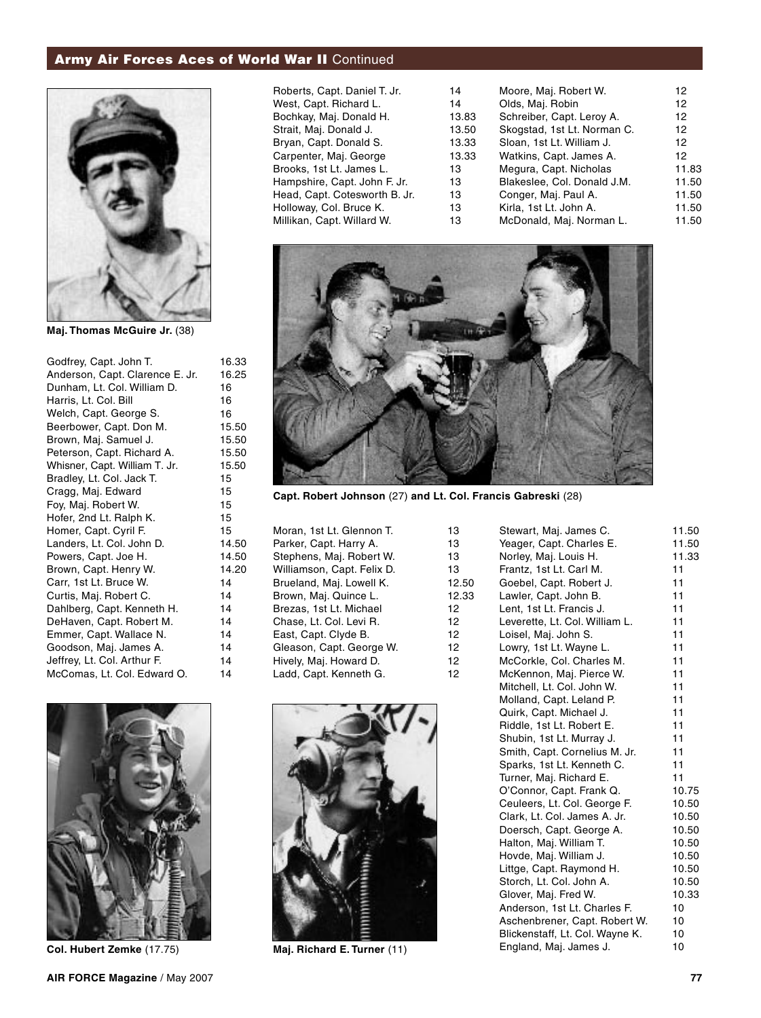# Army Air Forces Aces of World War II Continued



**Maj. Thomas McGuire Jr.** (38)

| Godfrey, Capt. John T.          | 16.33 |
|---------------------------------|-------|
| Anderson, Capt. Clarence E. Jr. | 16.25 |
| Dunham, Lt. Col. William D.     | 16    |
| Harris, Lt. Col. Bill           | 16    |
| Welch, Capt. George S.          | 16    |
| Beerbower, Capt. Don M.         | 15.50 |
| Brown, Maj. Samuel J.           | 15.50 |
| Peterson, Capt. Richard A.      | 15.50 |
| Whisner, Capt. William T. Jr.   | 15.50 |
| Bradley, Lt. Col. Jack T.       | 15    |
| Cragg, Maj. Edward              | 15    |
| Foy, Maj. Robert W.             | 15    |
| Hofer, 2nd Lt. Ralph K.         | 15    |
| Homer, Capt. Cyril F.           | 15    |
| Landers, Lt. Col. John D.       | 14.50 |
| Powers, Capt. Joe H.            | 14.50 |
| Brown, Capt. Henry W.           | 14.20 |
| Carr, 1st Lt. Bruce W.          | 14    |
| Curtis, Maj. Robert C.          | 14    |
| Dahlberg, Capt. Kenneth H.      | 14    |
| DeHaven, Capt. Robert M.        | 14    |
| Emmer, Capt. Wallace N.         | 14    |
| Goodson, Maj. James A.          | 14    |
| Jeffrey, Lt. Col. Arthur F.     | 14    |
| McComas, Lt. Col. Edward O.     | 14    |
|                                 |       |



**Col. Hubert Zemke** (17.75)

| Roberts, Capt. Daniel T. Jr.  | 14    | Moore, Maj. Robert W.       | 12              |
|-------------------------------|-------|-----------------------------|-----------------|
| West, Capt. Richard L.        | 14    | Olds, Maj. Robin            | 12              |
| Bochkay, Maj. Donald H.       | 13.83 | Schreiber, Capt. Leroy A.   | 12              |
| Strait, Maj. Donald J.        | 13.50 | Skogstad, 1st Lt. Norman C. | 12 <sup>2</sup> |
| Bryan, Capt. Donald S.        | 13.33 | Sloan, 1st Lt. William J.   | 12              |
| Carpenter, Maj. George        | 13.33 | Watkins, Capt. James A.     | 12              |
| Brooks, 1st Lt. James L.      | 13    | Megura, Capt. Nicholas      | 11.83           |
| Hampshire, Capt. John F. Jr.  | 13    | Blakeslee, Col. Donald J.M. | 11.50           |
| Head, Capt. Cotesworth B. Jr. | 13    | Conger, Maj. Paul A.        | 11.50           |
| Holloway, Col. Bruce K.       | 13    | Kirla, 1st Lt. John A.      | 11.50           |
| Millikan, Capt. Willard W.    | 13    | McDonald, Maj. Norman L.    | 11.50           |
|                               |       |                             |                 |



**Capt. Robert Johnson** (27) **and Lt. Col. Francis Gabreski** (28)

| Moran, 1st Lt. Glennon T.  | 13    |
|----------------------------|-------|
| Parker, Capt. Harry A.     | 13    |
| Stephens, Maj. Robert W.   | 13    |
| Williamson, Capt. Felix D. | 13    |
| Brueland, Maj. Lowell K.   | 12.50 |
| Brown, Maj. Quince L.      | 12.33 |
| Brezas, 1st Lt. Michael    | 12    |
| Chase, Lt. Col. Levi R.    | 12    |
| East, Capt. Clyde B.       | 12    |
| Gleason, Capt. George W.   | 12    |
| Hively, Maj. Howard D.     | 12    |
| Ladd, Capt. Kenneth G.     | 12    |
|                            |       |



**Maj. Richard E. Turner** (11)

| Stewart, Maj. James C.          | 11.50 |
|---------------------------------|-------|
| Yeager, Capt. Charles E.        | 11.50 |
| Norley, Maj. Louis H.           | 11.33 |
| Frantz, 1st Lt. Carl M.         | 11    |
| Goebel, Capt. Robert J.         | 11    |
| Lawler, Capt. John B.           | 11    |
| Lent, 1st Lt. Francis J.        | 11    |
| Leverette, Lt. Col. William L.  | 11    |
| Loisel, Maj. John S.            | 11    |
| Lowry, 1st Lt. Wayne L.         | 11    |
| McCorkle, Col. Charles M.       | 11    |
| McKennon, Maj. Pierce W.        | 11    |
| Mitchell, Lt. Col. John W.      | 11    |
| Molland, Capt. Leland P.        | 11    |
| Quirk, Capt. Michael J.         | 11    |
| Riddle, 1st Lt. Robert E.       | 11    |
| Shubin, 1st Lt. Murray J.       | 11    |
| Smith, Capt. Cornelius M. Jr.   | 11    |
| Sparks, 1st Lt. Kenneth C.      | 11    |
| Turner, Maj. Richard E.         | 11    |
| O'Connor, Capt. Frank Q.        | 10.75 |
| Ceuleers, Lt. Col. George F.    | 10.50 |
| Clark, Lt. Col. James A. Jr.    | 10.50 |
| Doersch, Capt. George A.        | 10.50 |
| Halton, Maj. William T.         | 10.50 |
| Hovde, Maj. William J.          | 10.50 |
| Littge, Capt. Raymond H.        | 10.50 |
| Storch, Lt. Col. John A.        | 10.50 |
| Glover, Maj. Fred W.            | 10.33 |
| Anderson, 1st Lt. Charles F.    | 10    |
| Aschenbrener, Capt. Robert W.   | 10    |
| Blickenstaff, Lt. Col. Wayne K. | 10    |
| England, Maj. James J.          | 10    |
|                                 |       |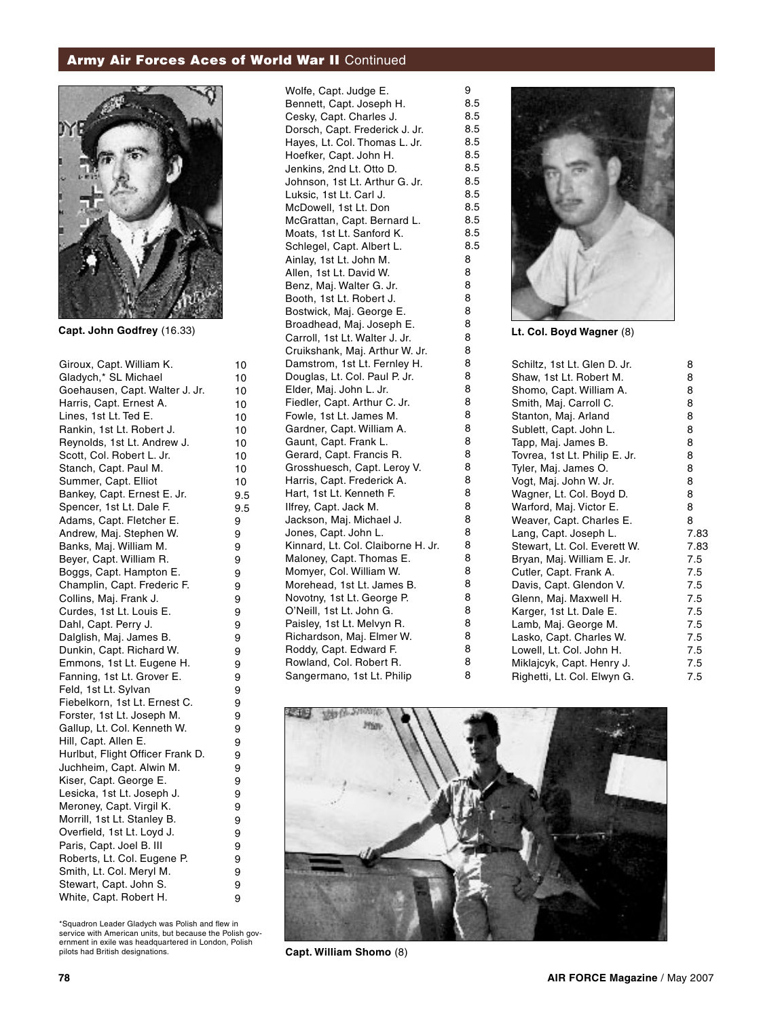# Army Air Forces Aces of World War II Continued



**Capt. John Godfrey** (16.33)

Giroux, Capt. William K. Gladych,\* SL Michael Goehausen, Capt. Walter J. Jr. Harris, Capt. Ernest A. Lines, 1st Lt. Ted E. Rankin, 1st Lt. Robert J. Reynolds, 1st Lt. Andrew J. Scott, Col. Robert L. Jr. Stanch, Capt. Paul M. Summer, Capt. Elliot Bankey, Capt. Ernest E. Jr. Spencer, 1st Lt. Dale F. Adams, Capt. Fletcher E. Andrew, Maj. Stephen W. Banks, Maj. William M. Beyer, Capt. William R. Boggs, Capt. Hampton E. Champlin, Capt. Frederic F. Collins, Maj. Frank J. Curdes, 1st Lt. Louis E. Dahl, Capt. Perry J. Dalglish, Maj. James B. Dunkin, Capt. Richard W. Emmons, 1st Lt. Eugene H. Fanning, 1st Lt. Grover E. Feld, 1st Lt. Sylvan Fiebelkorn, 1st Lt. Ernest C. Forster, 1st Lt. Joseph M. Gallup, Lt. Col. Kenneth W. Hill, Capt. Allen E. Hurlbut, Flight Officer Frank D. Juchheim, Capt. Alwin M. Kiser, Capt. George E. Lesicka, 1st Lt. Joseph J. Meroney, Capt. Virgil K. Morrill, 1st Lt. Stanley B. Overfield, 1st Lt. Loyd J. Paris, Capt. Joel B. III Roberts, Lt. Col. Eugene P. Smith, Lt. Col. Meryl M. Stewart, Capt. John S. White, Capt. Robert H.

\*Squadron Leader Gladych was Polish and flew in service with American units, but because the Polish government in exile was headquartered in London, Polish pilots had British designations.

Bennett, Capt. Joseph H. Cesky, Capt. Charles J. Dorsch, Capt. Frederick J. Jr. Hayes, Lt. Col. Thomas L. Jr. Hoefker, Capt. John H. Jenkins, 2nd Lt. Otto D. Johnson, 1st Lt. Arthur G. Jr. Luksic, 1st Lt. Carl J. McDowell, 1st Lt. Don McGrattan, Capt. Bernard L. Moats, 1st Lt. Sanford K. Schlegel, Capt. Albert L. Ainlay, 1st Lt. John M. Allen, 1st Lt. David W. Benz, Maj. Walter G. Jr. Booth, 1st Lt. Robert J. Bostwick, Maj. George E. Broadhead, Maj. Joseph E. Carroll, 1st Lt. Walter J. Jr. Cruikshank, Maj. Arthur W. Jr. Damstrom, 1st Lt. Fernley H. Douglas, Lt. Col. Paul P. Jr. Elder, Maj. John L. Jr. Fiedler, Capt. Arthur C. Jr. Fowle, 1st Lt. James M. Gardner, Capt. William A. Gaunt, Capt. Frank L. Gerard, Capt. Francis R. Grosshuesch, Capt. Leroy V. Harris, Capt. Frederick A. Hart, 1st Lt. Kenneth F. Ilfrey, Capt. Jack M. Jackson, Maj. Michael J. Jones, Capt. John L. Kinnard, Lt. Col. Claiborne H. Jr. Maloney, Capt. Thomas E. Momyer, Col. William W. Morehead, 1st Lt. James B. Novotny, 1st Lt. George P. O'Neill, 1st Lt. John G. Paisley, 1st Lt. Melvyn R. Richardson, Maj. Elmer W. Roddy, Capt. Edward F. Rowland, Col. Robert R. Sangermano, 1st Lt. Philip

Wolfe, Capt. Judge E.



**Lt. Col. Boyd Wagner** (8)

| Schiltz, 1st Lt. Glen D. Jr.  | 8    |
|-------------------------------|------|
| Shaw, 1st Lt. Robert M.       | 8    |
| Shomo, Capt. William A.       | 8    |
| Smith, Maj. Carroll C.        | 8    |
| Stanton, Maj. Arland          | 8    |
| Sublett, Capt. John L.        | 8    |
| Tapp, Maj. James B.           | 8    |
| Tovrea, 1st Lt. Philip E. Jr. | 8    |
| Tyler, Maj. James O.          | 8    |
| Vogt, Maj. John W. Jr.        | 8    |
| Wagner, Lt. Col. Boyd D.      | 8    |
| Warford, Maj. Victor E.       | 8    |
| Weaver, Capt. Charles E.      | 8    |
| Lang, Capt. Joseph L.         | 7.83 |
| Stewart, Lt. Col. Everett W.  | 7.83 |
| Bryan, Maj. William E. Jr.    | 7.5  |
| Cutler, Capt. Frank A.        | 7.5  |
| Davis, Capt. Glendon V.       | 7.5  |
| Glenn, Maj. Maxwell H.        | 7.5  |
| Karger, 1st Lt. Dale E.       | 7.5  |
| Lamb, Maj. George M.          | 7.5  |
| Lasko, Capt. Charles W.       | 7.5  |
| Lowell, Lt. Col. John H.      | 7.5  |
| Miklajcyk, Capt. Henry J.     | 7.5  |
| Righetti, Lt. Col. Elwyn G.   | 7.5  |



**Capt. William Shomo** (8)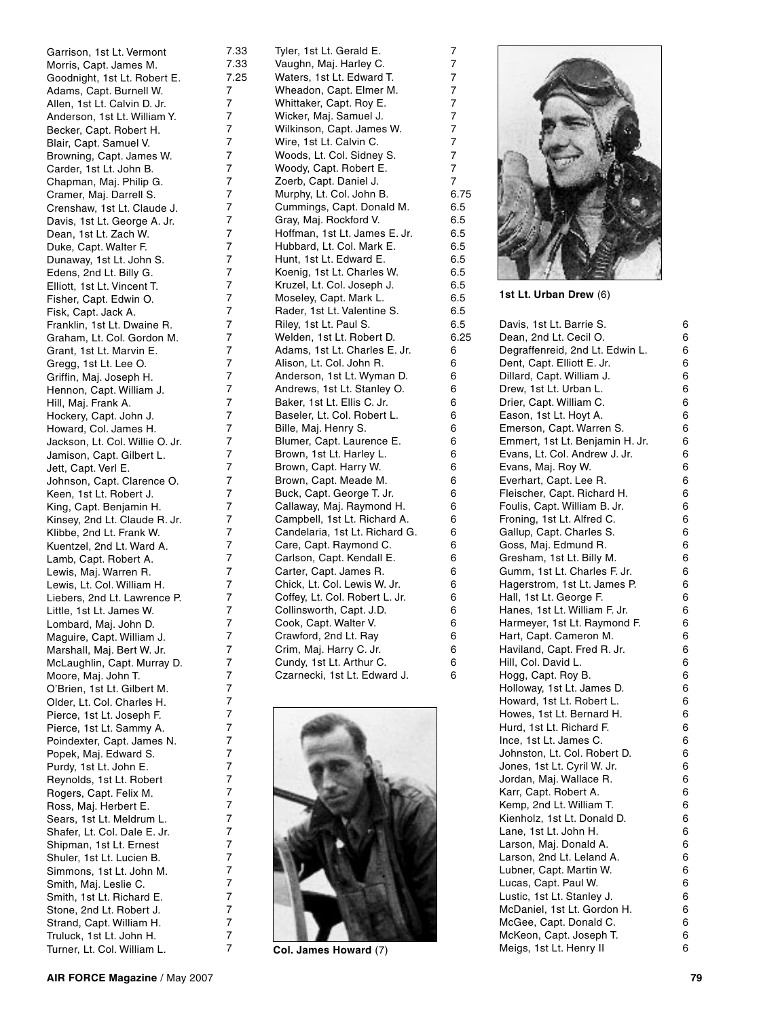Garrison, 1st Lt. Vermont Morris, Capt. James M. Goodnight, 1st Lt. Robert E. Adams, Capt. Burnell W. Allen, 1st Lt. Calvin D. Jr. Anderson, 1st Lt. William Y. Becker, Capt. Robert H. Blair, Capt. Samuel V. Browning, Capt. James W. Carder, 1st Lt. John B. Chapman, Maj. Philip G. Cramer, Maj. Darrell S. Crenshaw, 1st Lt. Claude J. Davis, 1st Lt. George A. Jr. Dean, 1st Lt. Zach W. Duke, Capt. Walter F. Dunaway, 1st Lt. John S. Edens, 2nd Lt. Billy G. Elliott, 1st Lt. Vincent T. Fisher, Capt. Edwin O. Fisk, Capt. Jack A. Franklin, 1st Lt. Dwaine R. Graham, Lt. Col. Gordon M. Grant, 1st Lt. Marvin E. Gregg, 1st Lt. Lee O. Griffin, Maj. Joseph H. Hennon, Capt. William J. Hill, Maj. Frank A. Hockery, Capt. John J. Howard, Col. James H. Jackson, Lt. Col. Willie O. Jr. Jamison, Capt. Gilbert L. Jett, Capt. Verl E. Johnson, Capt. Clarence O. Keen, 1st Lt. Robert J. King, Capt. Benjamin H. Kinsey, 2nd Lt. Claude R. Jr. Klibbe, 2nd Lt. Frank W. Kuentzel, 2nd Lt. Ward A. Lamb, Capt. Robert A. Lewis, Maj. Warren R. Lewis, Lt. Col. William H. Liebers, 2nd Lt. Lawrence P. Little, 1st Lt. James W. Lombard, Maj. John D. Maguire, Capt. William J. Marshall, Maj. Bert W. Jr. McLaughlin, Capt. Murray D. Moore, Maj. John T. O'Brien, 1st Lt. Gilbert M. Older, Lt. Col. Charles H. Pierce, 1st Lt. Joseph F. Pierce, 1st Lt. Sammy A. Poindexter, Capt. James N. Popek, Maj. Edward S. Purdy, 1st Lt. John E. Reynolds, 1st Lt. Robert Rogers, Capt. Felix M. Ross, Maj. Herbert E. Sears, 1st Lt. Meldrum L. Shafer, Lt. Col. Dale E. Jr. Shipman, 1st Lt. Ernest Shuler, 1st Lt. Lucien B. Simmons, 1st Lt. John M. Smith, Maj. Leslie C. Smith, 1st Lt. Richard F. Stone, 2nd Lt. Robert J. Strand, Capt. William H. Truluck, 1st Lt. John H. Turner, Lt. Col. William L.

Tyler, 1st Lt. Gerald E. Vaughn, Maj. Harley C. Waters, 1st Lt. Edward T. Wheadon, Capt. Elmer M. Whittaker, Capt. Roy E. Wicker, Maj. Samuel J. Wilkinson, Capt. James W. Wire, 1st Lt. Calvin C. Woods, Lt. Col. Sidney S. Woody, Capt. Robert E. Zoerb, Capt. Daniel J. Murphy, Lt. Col. John B. Cummings, Capt. Donald M. Gray, Maj. Rockford V. Hoffman, 1st Lt. James E. Jr. Hubbard, Lt. Col. Mark E. Hunt, 1st Lt. Edward E. Koenig, 1st Lt. Charles W. Kruzel, Lt. Col. Joseph J. Moseley, Capt. Mark L. Rader, 1st Lt. Valentine S. Riley, 1st Lt. Paul S. Welden, 1st Lt. Robert D. Adams, 1st Lt. Charles E. Jr. Alison, Lt. Col. John R. Anderson, 1st Lt. Wyman D. Andrews, 1st Lt. Stanley O. Baker, 1st Lt. Ellis C. Jr. Baseler, Lt. Col. Robert L. Bille, Maj. Henry S. Blumer, Capt. Laurence E. Brown, 1st Lt. Harley L. Brown, Capt. Harry W. Brown, Capt. Meade M. Buck, Capt. George T. Jr. Callaway, Maj. Raymond H. Campbell, 1st Lt. Richard A. Candelaria, 1st Lt. Richard G. Care, Capt. Raymond C. Carlson, Capt. Kendall E. Carter, Capt. James R. Chick, Lt. Col. Lewis W. Jr. Coffey, Lt. Col. Robert L. Jr. Collinsworth, Capt. J.D. Cook, Capt. Walter V. Crawford, 2nd Lt. Ray Crim, Maj. Harry C. Jr. Cundy, 1st Lt. Arthur C. Czarnecki, 1st Lt. Edward J.

7.33 7.33 7.25

 $\overline{7}$ 

 $\overline{7}$  $\overline{7}$ 

 $\overline{7}$ 

 $\overline{7}$ 

 $\overline{7}$ 

 $\overline{7}$ 

 $\overline{7}$ 

 $\overline{7}$  $\overline{7}$  $\overline{7}$  $\overline{7}$  $\overline{7}$  $\overline{7}$  $\overline{7}$  $\overline{7}$  $\overline{7}$  $\overline{7}$  $\overline{7}$ 

 $\overline{7}$ 

 $\overline{7}$ 

 $\overline{7}$ 

 $\overline{7}$ 

 $\overline{7}$ 

 $\overline{7}$ 

 $\overline{7}$ 

 $\overline{7}$ 

 $\overline{7}$ 

 $\overline{7}$ 

 $\overline{7}$ 

 $\overline{7}$ 

 $\overline{7}$ 

 $\overline{7}$ 

7777777777777777777777777777777777777777777777777777777777777777777

 $\overline{7}$ 

 $\overline{7}$ 

 $\overline{7}$ 

 $\overline{7}$ 

 $\overline{7}$ 

 $\overline{7}$ 

 $\overline{7}$ 

 $\overline{7}$ 

 $\overline{7}$ 

 $\overline{7}$ 

 $\overline{7}$ 

 $\overline{7}$ 

 $\overline{7}$ 

 $\overline{7}$ 

 $\overline{7}$ 

 $\overline{7}$ 

 $\overline{7}$ 

 $\overline{7}$ 

 $\overline{7}$ 

 $\overline{7}$ 

 $\overline{7}$ 

 $\overline{7}$ 

 $\overline{7}$ 

 $\overline{7}$ 

 $\overline{7}$ 

 $\overline{7}$ 

 $\overline{7}$ 

 $\overline{7}$ 

 $\overline{7}$ 

 $\overline{7}$ 

 $\overline{7}$ 

 $\overline{7}$ 

 $\overline{7}$ 

 $\overline{7}$ 



**Col. James Howard** (7)



77777777777

 $\overline{7}$ 

 $\overline{7}$ 

 $\overline{7}$ 

 $\overline{7}$ 

 $\overline{7}$ 

 $\overline{7}$ 

 $\overline{7}$  $\overline{7}$ 

 $\overline{7}$  $\overline{7}$  $\overline{7}$ 

6.75 6.5 6.5 6.5 6.5 6.5 6.5 6.5 6.5 6.5 6.5 6.25

66666666666666666666666666

6

6

6

6

6

6

6

6

6

6

6

6

6

6

6

6

6

6

 $\kappa$ 

6

6

6

6

6

6

6

**1st Lt. Urban Drew** (6)

Davis, 1st Lt. Barrie S.  $\boldsymbol{\kappa}$ 6666666666666666666666666666666666666666666666666Dean, 2nd Lt. Cecil O. 6 Degraffenreid, 2nd Lt. Edwin L. 6 Dent, Capt. Elliott E. Jr. 6 Dillard, Capt. William J. 6 Drew, 1st Lt. Urban L. 6 Drier, Capt. William C. **G** Eason, 1st Lt. Hoyt A. 6 Emerson, Capt. Warren S. 6 Emmert, 1st Lt. Benjamin H. Jr. 6 Evans, Lt. Col. Andrew J. Jr. 6 Evans, Maj. Roy W. 6 Everhart, Capt. Lee R. 6 Fleischer, Capt. Richard H. 6 Foulis, Capt. William B. Jr. 6 Froning, 1st Lt. Alfred C. 6 Gallup, Capt. Charles S. 6 Goss, Maj. Edmund R. 6 Gresham, 1st Lt. Billy M. 6 Gumm, 1st Lt. Charles F. Jr. 6 Hagerstrom, 1st Lt. James P. 6 Hall, 1st Lt. George F. 6 Hanes, 1st Lt. William F. Jr. 6 Harmeyer, 1st Lt. Raymond F. 6 Hart, Capt. Cameron M. 6 Haviland, Capt. Fred R. Jr. 6 Hill, Col. David L. 6 Hogg, Capt. Roy B. 6 Holloway, 1st Lt. James D. 6 Howard, 1st Lt. Robert L. 6 Howes, 1st Lt. Bernard H.  $\boldsymbol{\kappa}$ Hurd, 1st Lt. Richard F. 6 Ince, 1st Lt. James C. 6 Johnston, Lt. Col. Robert D. 6 Jones, 1st Lt. Cyril W. Jr. 6 Jordan, Maj. Wallace R. 6 Karr, Capt. Robert A. 6 Kemp, 2nd Lt. William T. 6 Kienholz, 1st Lt. Donald D. 6 Lane, 1st Lt. John H. 6 Larson, Maj. Donald A. 6 Larson, 2nd Lt. Leland A. 6 Lubner, Capt. Martin W.  $\boldsymbol{\kappa}$ Lucas, Capt. Paul W. 6 Lustic, 1st Lt. Stanley J. 6 McDaniel, 1st Lt. Gordon H. 6 McGee, Capt. Donald C. 6 McKeon, Capt. Joseph T. 6 Meigs, 1st Lt. Henry II 6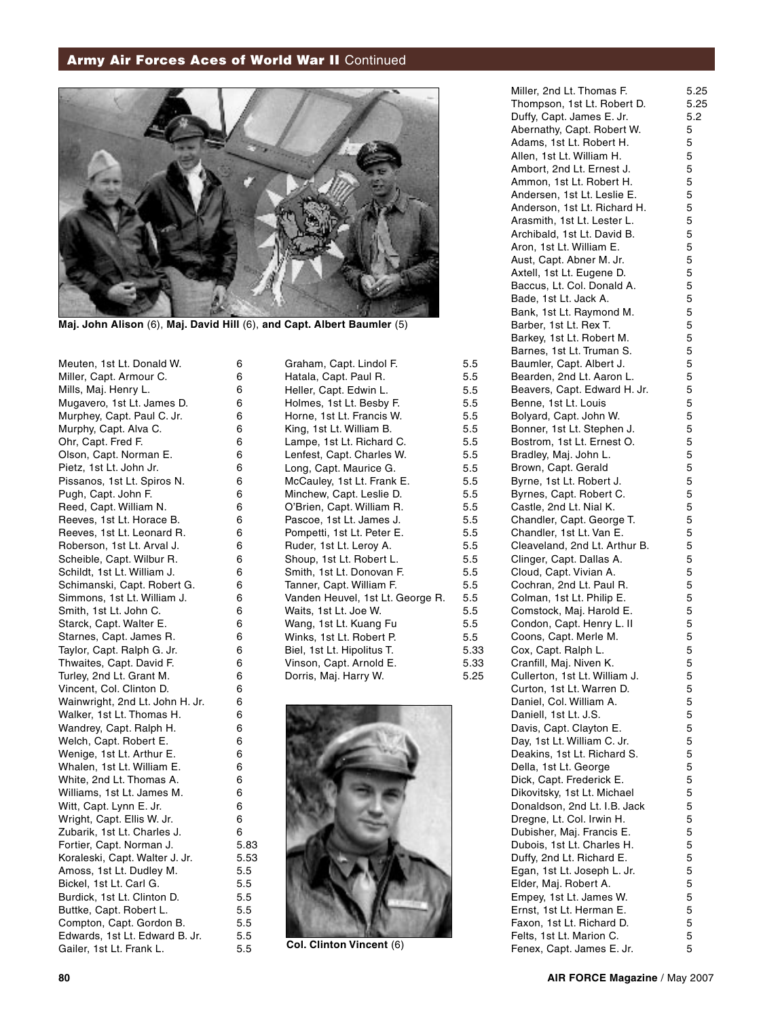# **Army Air Forces Aces of World War II Continued**



**Maj. John Alison** (6), **Maj. David Hill** (6), **and Capt. Albert Baumler** (5)

Meuten, 1st Lt. Donald W. Miller, Capt. Armour C. Mills, Maj. Henry L. Mugavero, 1st Lt. James D. Murphey, Capt. Paul C. Jr. Murphy, Capt. Alva C. Ohr, Capt. Fred F. Olson, Capt. Norman E. Pietz, 1st Lt. John Jr. Pissanos, 1st Lt. Spiros N. Pugh, Capt. John F. Reed, Capt. William N. Reeves, 1st Lt. Horace B. Reeves, 1st Lt. Leonard R. Roberson, 1st Lt. Arval J. Scheible, Capt. Wilbur R. Schildt, 1st Lt. William J. Schimanski, Capt. Robert G. Simmons, 1st Lt. William J. Smith, 1st Lt. John C. Starck, Capt. Walter E. Starnes, Capt. James R. Taylor, Capt. Ralph G. Jr. Thwaites, Capt. David F. Turley, 2nd Lt. Grant M. Vincent, Col. Clinton D. Wainwright, 2nd Lt. John H. Jr. Walker, 1st Lt. Thomas H. Wandrey, Capt. Ralph H. Welch, Capt. Robert E. Wenige, 1st Lt. Arthur E. Whalen, 1st Lt. William E. White, 2nd Lt. Thomas A. Williams, 1st Lt. James M. Witt, Capt. Lynn E. Jr. Wright, Capt. Ellis W. Jr. Zubarik, 1st Lt. Charles J. Fortier, Capt. Norman J. Koraleski, Capt. Walter J. Jr. Amoss, 1st Lt. Dudley M. Bickel, 1st Lt. Carl G. Burdick, 1st Lt. Clinton D. Buttke, Capt. Robert L. Compton, Capt. Gordon B. Edwards, 1st Lt. Edward B. Jr. Gailer, 1st Lt. Frank L.

Graham, Capt. Lindol F. Hatala, Capt. Paul R. Heller, Capt. Edwin L. Holmes, 1st Lt. Besby F. Horne, 1st Lt. Francis W. King, 1st Lt. William B. Lampe, 1st Lt. Richard C. Lenfest, Capt. Charles W. Long, Capt. Maurice G. McCauley, 1st Lt. Frank E. Minchew, Capt. Leslie D. O'Brien, Capt. William R. Pascoe, 1st Lt. James J. Pompetti, 1st Lt. Peter E. Ruder, 1st Lt. Leroy A. Shoup, 1st Lt. Robert L. Smith, 1st Lt. Donovan F. Tanner, Capt. William F. Vanden Heuvel, 1st Lt. George R. Waits, 1st Lt. Joe W. Wang, 1st Lt. Kuang Fu Winks, 1st Lt. Robert P. Biel, 1st Lt. Hipolitus T. Vinson, Capt. Arnold E. Dorris, Maj. Harry W. 5.5 5.5 5.5 5.5 5.5 5.5 5.5 5.5 5.5 5.5 5.5 5.5 5.5 5.5 5.5 5.5 5.5 5.5 5.5 5.5 5.5 5.5 5.33 5.33 5.25



**Col. Clinton Vincent** (6)

| Miller, 2nd Lt. Thomas F.     | 5.25 |
|-------------------------------|------|
| Thompson, 1st Lt. Robert D.   | 5.25 |
| Duffy, Capt. James E. Jr.     | 5.2  |
| Abernathy, Capt. Robert W.    | 5    |
| Adams, 1st Lt. Robert H.      | 5    |
| Allen, 1st Lt. William H.     | 5    |
| Ambort, 2nd Lt. Ernest J.     | 5    |
| Ammon, 1st Lt. Robert H.      | 5    |
| Andersen, 1st Lt. Leslie E.   | 5    |
|                               |      |
| Anderson, 1st Lt. Richard H.  | 5    |
| Arasmith, 1st Lt. Lester L.   | 5    |
| Archibald, 1st Lt. David B.   | 5    |
| Aron, 1st Lt. William E.      | 5    |
| Aust, Capt. Abner M. Jr.      | 5    |
| Axtell, 1st Lt. Eugene D.     | 5    |
| Baccus, Lt. Col. Donald A.    | 5    |
| Bade, 1st Lt. Jack A.         | 5    |
| Bank, 1st Lt. Raymond M.      | 5    |
| Barber, 1st Lt. Rex T.        | 5    |
|                               | 5    |
| Barkey, 1st Lt. Robert M.     |      |
| Barnes, 1st Lt. Truman S.     | 5    |
| Baumler, Capt. Albert J.      | 5    |
| Bearden, 2nd Lt. Aaron L.     | 5    |
| Beavers, Capt. Edward H. Jr.  | 5    |
| Benne, 1st Lt. Louis          | 5    |
| Bolyard, Capt. John W.        | 5    |
| Bonner, 1st Lt. Stephen J.    | 5    |
| Bostrom, 1st Lt. Ernest O.    | 5    |
| Bradley, Maj. John L.         | 5    |
| Brown, Capt. Gerald           | 5    |
|                               |      |
| Byrne, 1st Lt. Robert J.      | 5    |
| Byrnes, Capt. Robert C.       | 5    |
| Castle, 2nd Lt. Nial K.       | 5    |
| Chandler, Capt. George T.     | 5    |
| Chandler, 1st Lt. Van E.      | 5    |
| Cleaveland, 2nd Lt. Arthur B. | 5    |
| Clinger, Capt. Dallas A.      | 5    |
| Cloud, Capt. Vivian A.        | 5    |
| Cochran, 2nd Lt. Paul R.      | 5    |
| Colman, 1st Lt. Philip E.     | 5    |
| Comstock, Maj. Harold E.      | 5    |
|                               | 5    |
| Condon, Capt. Henry L. II     |      |
| Coons, Capt. Merle M.         | 5    |
| Cox, Capt. Ralph L.           | 5    |
| Cranfill, Maj. Niven K.       | 5    |
| Cullerton, 1st Lt. William J. | 5    |
| Curton, 1st Lt. Warren D.     | 5    |
| Daniel, Col. William A.       | 5    |
| Daniell, 1st Lt. J.S.         | 5    |
| Davis, Capt. Clayton E.       | 5    |
| Day, 1st Lt. William C. Jr.   | 5    |
| Deakins, 1st Lt. Richard S.   | 5    |
|                               |      |
| Della, 1st Lt. George         | 5    |
| Dick, Capt. Frederick E.      | 5    |
| Dikovitsky, 1st Lt. Michael   | 5    |
| Donaldson, 2nd Lt. I.B. Jack  | 5    |
| Dregne, Lt. Col. Irwin H.     | 5    |
| Dubisher, Maj. Francis E.     | 5    |
| Dubois, 1st Lt. Charles H.    | 5    |
| Duffy, 2nd Lt. Richard E.     | 5    |
| Egan, 1st Lt. Joseph L. Jr.   | 5    |
| Elder, Maj. Robert A.         | 5    |
|                               |      |
| Empey, 1st Lt. James W.       | 5    |
| Ernst, 1st Lt. Herman E.      | 5    |
| Faxon, 1st Lt. Richard D.     | 5    |
| Felts, 1st Lt. Marion C.      | 5    |
| Fenex, Capt. James E. Jr.     | 5    |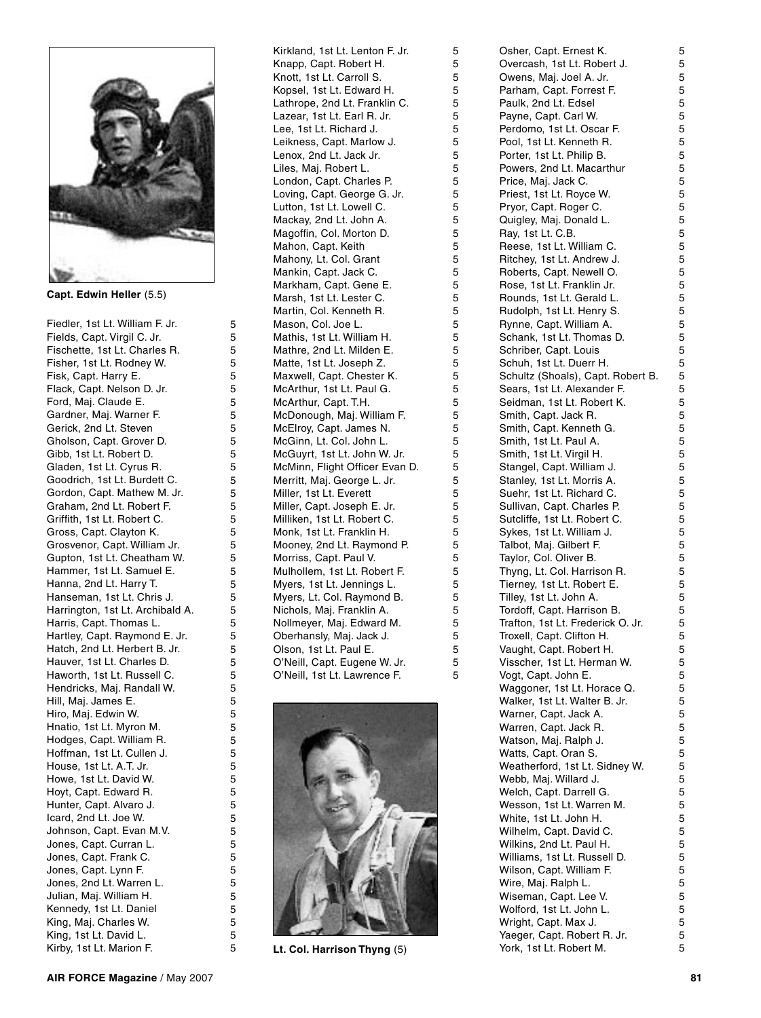

**Capt. Edwin Heller** (5.5)

Fiedler, 1st Lt. William F. Jr. Fields, Capt. Virgil C. Jr. Fischette, 1st Lt. Charles R. Fisher, 1st Lt. Rodney W. Fisk, Capt. Harry E. Flack, Capt. Nelson D. Jr. Ford, Maj. Claude E. Gardner, Maj. Warner F. Gerick, 2nd Lt. Steven Gholson, Capt. Grover D. Gibb, 1st Lt. Robert D. Gladen, 1st Lt. Cyrus R. Goodrich, 1st Lt. Burdett C. Gordon, Capt. Mathew M. Jr. Graham, 2nd Lt. Robert F. Griffith, 1st Lt. Robert C. Gross, Capt. Clayton K. Grosvenor, Capt. William Jr. Gupton, 1st Lt. Cheatham W. Hammer, 1st Lt. Samuel E. Hanna, 2nd Lt. Harry T. Hanseman, 1st Lt. Chris J. Harrington, 1st Lt. Archibald A. Harris, Capt. Thomas L. Hartley, Capt. Raymond E. Jr. Hatch, 2nd Lt. Herbert B. Jr. Hauver, 1st Lt. Charles D. Haworth, 1st Lt. Russell C. Hendricks, Maj. Randall W. Hill, Maj. James E. Hiro, Maj. Edwin W. Hnatio, 1st Lt. Myron M. Hodges, Capt. William R. Hoffman, 1st Lt. Cullen J. House, 1st Lt. A.T. Jr. Howe, 1st Lt. David W. Hoyt, Capt. Edward R. Hunter, Capt. Alvaro J. Icard, 2nd Lt. Joe W. Johnson, Capt. Evan M.V. Jones, Capt. Curran L. Jones, Capt. Frank C. Jones, Capt. Lynn F. Jones, 2nd Lt. Warren L. Julian, Maj. William H. Kennedy, 1st Lt. Daniel King, Maj. Charles W. King, 1st Lt. David L. Kirby, 1st Lt. Marion F.

Kirkland, 1st Lt. Lenton F. Jr. Knapp, Capt. Robert H. Knott, 1st Lt. Carroll S. Kopsel, 1st Lt. Edward H. Lathrope, 2nd Lt. Franklin C. Lazear, 1st Lt. Earl R. Jr. Lee, 1st Lt. Richard J. Leikness, Capt. Marlow J. Lenox, 2nd Lt. Jack Jr. Liles, Maj. Robert L. London, Capt. Charles P. Loving, Capt. George G. Jr. Lutton, 1st Lt. Lowell C. Mackay, 2nd Lt. John A. Magoffin, Col. Morton D. Mahon, Capt. Keith Mahony, Lt. Col. Grant Mankin, Capt. Jack C. Markham, Capt. Gene E. Marsh, 1st Lt. Lester C. Martin, Col. Kenneth R. Mason, Col. Joe L. Mathis, 1st Lt. William H. Mathre, 2nd Lt. Milden E. Matte, 1st Lt. Joseph Z. Maxwell, Capt. Chester K. McArthur, 1st Lt. Paul G. McArthur, Capt. T.H. McDonough, Maj. William F. McElroy, Capt. James N. McGinn, Lt. Col. John L. McGuyrt, 1st Lt. John W. Jr. McMinn, Flight Officer Evan D. Merritt, Maj. George L. Jr. Miller, 1st Lt. Everett Miller, Capt. Joseph E. Jr. Milliken, 1st Lt. Robert C. Monk, 1st Lt. Franklin H. Mooney, 2nd Lt. Raymond P. Morriss, Capt. Paul V. Mulhollem, 1st Lt. Robert F. Myers, 1st Lt. Jennings L. Myers, Lt. Col. Raymond B. Nichols, Maj. Franklin A. Nollmeyer, Maj. Edward M. Oberhansly, Maj. Jack J. Olson, 1st Lt. Paul E. O'Neill, Capt. Eugene W. Jr. O'Neill, 1st Lt. Lawrence F.



**Lt. Col. Harrison Thyng** (5)

| Odnor, Odpi. Emical n.            | ັ |
|-----------------------------------|---|
| Overcash, 1st Lt. Robert J.       | 5 |
|                                   |   |
| Owens, Maj. Joel A. Jr.           | 5 |
| Parham, Capt. Forrest F.          | 5 |
| Paulk, 2nd Lt. Edsel              | 5 |
|                                   |   |
| Payne, Capt. Carl W.              | 5 |
| Perdomo, 1st Lt. Oscar F.         | 5 |
|                                   |   |
| Pool, 1st Lt. Kenneth R.          | 5 |
| Porter, 1st Lt. Philip B.         | 5 |
|                                   |   |
| Powers, 2nd Lt. Macarthur         | 5 |
| Price, Maj. Jack C.               | 5 |
| Priest, 1st Lt. Royce W.          | 5 |
|                                   |   |
| Pryor, Capt. Roger C.             | 5 |
| Quigley, Maj. Donald L.           | 5 |
|                                   |   |
| Ray, 1st Lt. C.B.                 | 5 |
| Reese, 1st Lt. William C.         | 5 |
|                                   |   |
| Ritchey, 1st Lt. Andrew J.        | 5 |
| Roberts, Capt. Newell O.          | 5 |
|                                   |   |
| Rose, 1st Lt. Franklin Jr.        | 5 |
| Rounds, 1st Lt. Gerald L.         | 5 |
| Rudolph, 1st Lt. Henry S.         | 5 |
|                                   |   |
| Rynne, Capt. William A.           | 5 |
| Schank, 1st Lt. Thomas D.         | 5 |
|                                   |   |
| Schriber, Capt. Louis             | 5 |
| Schuh, 1st Lt. Duerr H.           | 5 |
|                                   |   |
| Schultz (Shoals), Capt. Robert B. | 5 |
| Sears, 1st Lt. Alexander F.       | 5 |
| Seidman, 1st Lt. Robert K.        | 5 |
|                                   |   |
| Smith, Capt. Jack R.              | 5 |
| Smith, Capt. Kenneth G.           | 5 |
|                                   |   |
| Smith, 1st Lt. Paul A.            | 5 |
| Smith, 1st Lt. Virgil H.          | 5 |
|                                   | 5 |
| Stangel, Capt. William J.         |   |
| Stanley, 1st Lt. Morris A.        | 5 |
| Suehr, 1st Lt. Richard C.         | 5 |
|                                   |   |
| Sullivan, Capt. Charles P.        | 5 |
| Sutcliffe, 1st Lt. Robert C.      | 5 |
|                                   |   |
| Sykes, 1st Lt. William J.         | 5 |
| Talbot, Maj. Gilbert F.           | 5 |
|                                   |   |
| Taylor, Col. Oliver B.            | 5 |
| Thyng, Lt. Col. Harrison R.       | 5 |
| Tierney, 1st Lt. Robert E.        | 5 |
|                                   |   |
| Tilley, 1st Lt. John A.           | 5 |
| Tordoff, Capt. Harrison B.        | 5 |
|                                   |   |
| Trafton, 1st Lt. Frederick O. Jr. | 5 |
| Troxell, Capt. Clifton H.         | 5 |
| Vaught, Capt. Robert H.           | 5 |
|                                   |   |
| Visscher, 1st Lt. Herman W.       | 5 |
| Vogt, Capt. John E.               | 5 |
|                                   |   |
| Waggoner, 1st Lt. Horace Q.       | 5 |
| Walker, 1st Lt. Walter B. Jr.     | 5 |
|                                   |   |
| Warner, Capt. Jack A.             | 5 |
| Warren, Capt. Jack R.             | 5 |
| Watson, Maj. Ralph J.             | 5 |
|                                   |   |
| Watts, Capt. Oran S.              | 5 |
| Weatherford, 1st Lt. Sidney W.    | 5 |
|                                   |   |
| Webb, Maj. Willard J.             | 5 |
| Welch, Capt. Darrell G.           | 5 |
| Wesson, 1st Lt. Warren M.         | 5 |
|                                   |   |
| White, 1st Lt. John H.            | 5 |
| Wilhelm, Capt. David C.           | 5 |
|                                   |   |
| Wilkins, 2nd Lt. Paul H.          | 5 |
| Williams, 1st Lt. Russell D.      | 5 |
|                                   |   |
| Wilson, Capt. William F.          | 5 |
| Wire, Maj. Ralph L.               | 5 |
| Wiseman, Capt. Lee V.             | 5 |
|                                   |   |
| Wolford, 1st Lt. John L.          | 5 |
| Wright, Capt. Max J.              | 5 |
|                                   |   |
| Yaeger, Capt. Robert R. Jr.       | 5 |
| York, 1st Lt. Robert M.           | 5 |
|                                   |   |

Osher, Capt. Ernest K.

 $\sqrt{2}$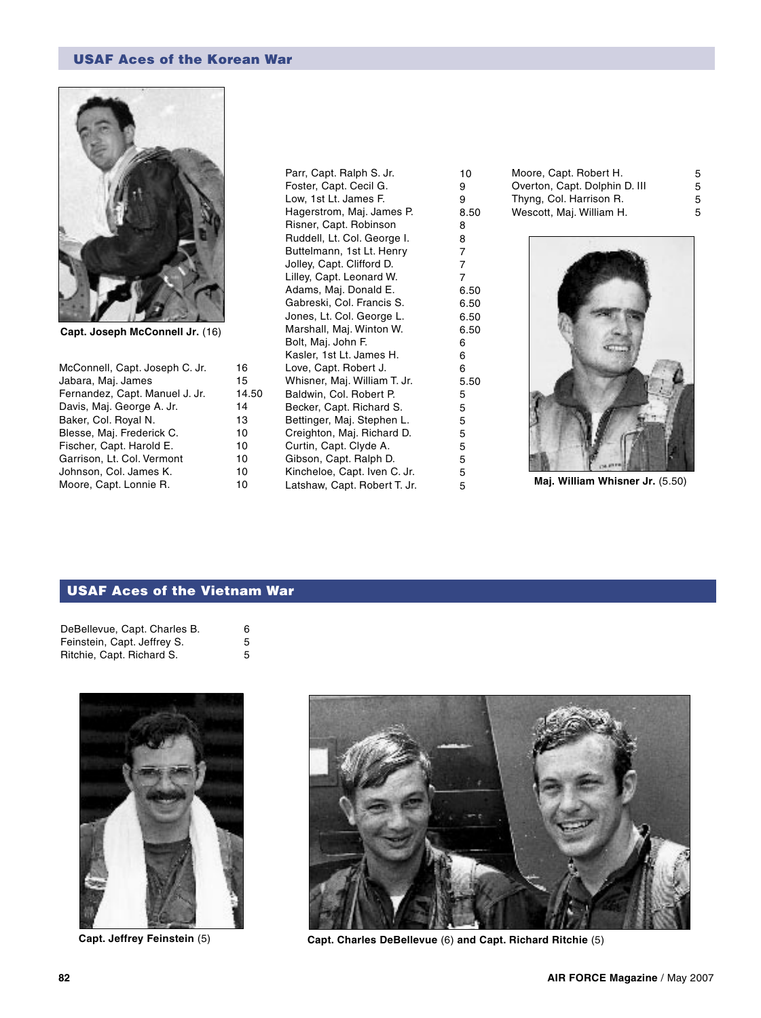# USAF Aces of the Korean War



**Capt. Joseph McConnell Jr.** (16)

| McConnell, Capt. Joseph C. Jr. | 16    |
|--------------------------------|-------|
| Jabara, Maj. James             | 15    |
| Fernandez, Capt. Manuel J. Jr. | 14.50 |
| Davis, Maj. George A. Jr.      | 14    |
| Baker, Col. Royal N.           | 13    |
| Blesse, Maj. Frederick C.      | 10    |
| Fischer, Capt. Harold E.       | 10    |
| Garrison, Lt. Col. Vermont     | 10    |
| Johnson, Col. James K.         | 10    |
| Moore, Capt. Lonnie R.         | 10    |

Parr, Capt. Ralph S. Jr. Foster, Capt. Cecil G. Low, 1st Lt. James F. Hagerstrom, Maj. James P. Risner, Capt. Robinson Ruddell, Lt. Col. George I. Buttelmann, 1st Lt. Henry Jolley, Capt. Clifford D. Lilley, Capt. Leonard W. Adams, Maj. Donald E. Gabreski, Col. Francis S. Jones, Lt. Col. George L. Marshall, Maj. Winton W. Bolt, Maj. John F. Kasler, 1st Lt. James H. Love, Capt. Robert J. Whisner, Maj. William T. Jr. Baldwin, Col. Robert P. Becker, Capt. Richard S. Bettinger, Maj. Stephen L. Creighton, Maj. Richard D. Curtin, Capt. Clyde A. Gibson, Capt. Ralph D. Kincheloe, Capt. Iven C. Jr. Latshaw, Capt. Robert T. Jr. 10 9 9 8.50 8 8 7 7 7 6.50 6.50 6.50 6.50 6 6 6 5.50 5 5 5 5 5 5 5

Moore, Capt. Robert H. Overton, Capt. Dolphin D. III Thyng, Col. Harrison R. Wescott, Maj. William H. 5 5 5 5



<sup>5</sup> **Maj. William Whisner Jr.** (5.50)

# USAF Aces of the Vietnam War

| DeBellevue, Capt. Charles B. | 6 |
|------------------------------|---|
| Feinstein, Capt. Jeffrey S.  | 5 |
| Ritchie, Capt. Richard S.    | 5 |





**Capt. Jeffrey Feinstein** (5) **Capt. Charles DeBellevue** (6) **and Capt. Richard Ritchie** (5)